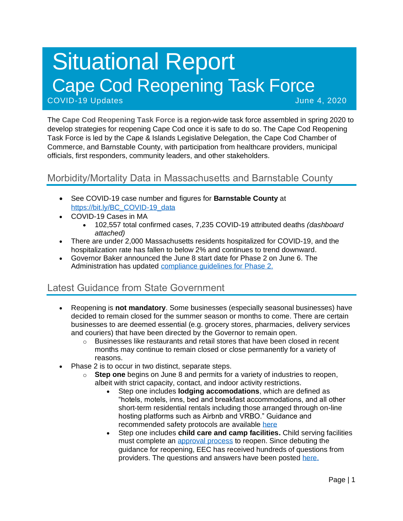# Situational Report Cape Cod Reopening Task Force COVID-19 Updates June 4, 2020

The **Cape Cod Reopening Task Force** is a region-wide task force assembled in spring 2020 to develop strategies for reopening Cape Cod once it is safe to do so. The Cape Cod Reopening Task Force is led by the Cape & Islands Legislative Delegation, the Cape Cod Chamber of Commerce, and Barnstable County, with participation from healthcare providers, municipal officials, first responders, community leaders, and other stakeholders.

## Morbidity/Mortality Data in Massachusetts and Barnstable County

- See COVID-19 case number and figures for **Barnstable County** at [https://bit.ly/BC\\_COVID-19\\_data](https://bit.ly/BC_COVID-19_data)
- COVID-19 Cases in MA
	- 102,557 total confirmed cases, 7,235 COVID-19 attributed deaths *(dashboard attached)*
- There are under 2,000 Massachusetts residents hospitalized for COVID-19, and the hospitalization rate has fallen to below 2% and continues to trend downward.
- Governor Baker announced the June 8 start date for Phase 2 on June 6. The Administration has updated [compliance guidelines for Phase 2.](https://www.mass.gov/info-details/reopening-when-can-my-business-reopen)

## Latest Guidance from State Government

- Reopening is **not mandatory**. Some businesses (especially seasonal businesses) have decided to remain closed for the summer season or months to come. There are certain businesses to are deemed essential (e.g. grocery stores, pharmacies, delivery services and couriers) that have been directed by the Governor to remain open.
	- $\circ$  Businesses like restaurants and retail stores that have been closed in recent months may continue to remain closed or close permanently for a variety of reasons.
- Phase 2 is to occur in two distinct, separate steps.
	- o **Step one** begins on June 8 and permits for a variety of industries to reopen, albeit with strict capacity, contact, and indoor activity restrictions.
		- Step one includes **lodging accomodations**, which are defined as "hotels, motels, inns, bed and breakfast accommodations, and all other short-term residential rentals including those arranged through on-line hosting platforms such as Airbnb and VRBO." Guidance and recommended safety protocols are available [here](https://www.mass.gov/info-details/safety-standards-and-checklist-operators-of-lodgings)
		- Step one includes **child care and camp facilities.** Child serving facilities must complete an [approval process](https://eeclead.force.com/resource/1591618751000/ReopeningProcessOverview) to reopen. Since debuting the guidance for reopening, EEC has received hundreds of questions from providers. The questions and answers have been posted [here.](https://eeclead.force.com/resource/1591618750000/FAQ_Min_Req)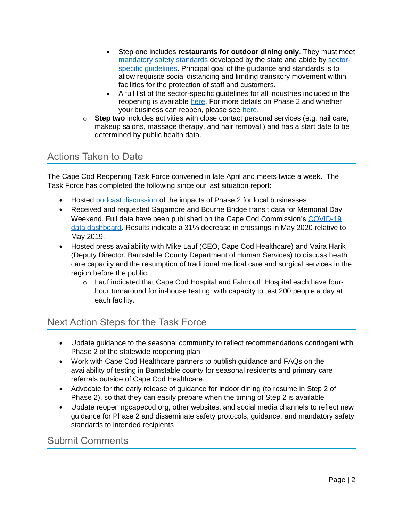- Step one includes **restaurants for outdoor dining only**. They must meet [mandatory safety standards](https://www.mass.gov/doc/restaurants-protocol-summary-english/download) developed by the state and abide by [sector](https://www.mass.gov/info-details/safety-standards-and-checklist-restaurants#quick-reference-documents-)[specific guidelines.](https://www.mass.gov/info-details/safety-standards-and-checklist-restaurants#quick-reference-documents-) Principal goal of the guidance and standards is to allow requisite social distancing and limiting transitory movement within facilities for the protection of staff and customers.
- A full list of the sector-specific guidelines for all industries included in the reopening is available [here.](https://www.mass.gov/resource/reopening-sector-specific-protocols-and-best-practices) For more details on Phase 2 and whether your business can reopen, please see [here.](https://www.mass.gov/info-details/reopening-when-can-my-business-reopen)
- o **Step two** includes activities with close contact personal services (e.g. nail care, makeup salons, massage therapy, and hair removal.) and has a start date to be determined by public health data.

### Actions Taken to Date

The Cape Cod Reopening Task Force convened in late April and meets twice a week. The Task Force has completed the following since our last situation report:

- Hosted [podcast discussion](https://capecodchamber.libsyn.com/website/breaking-news-cape-cod-enters-phase-2-reopening?fbclid=IwAR1XOYL6FT9oUWMnhsAAc3R4nlW0qv080C-jYEmjEdBlEAGp8IpARHCHLfc) of the impacts of Phase 2 for local businesses
- Received and requested Sagamore and Bourne Bridge transit data for Memorial Day Weekend. Full data have been published on the Cape Cod Commission's [COVID-19](https://datacapecod.com/cape-cod-traffic-trends/)  [data dashboard.](https://datacapecod.com/cape-cod-traffic-trends/) Results indicate a 31% decrease in crossings in May 2020 relative to May 2019.
- Hosted press availability with Mike Lauf (CEO, Cape Cod Healthcare) and Vaira Harik (Deputy Director, Barnstable County Department of Human Services) to discuss heath care capacity and the resumption of traditional medical care and surgical services in the region before the public.
	- o Lauf indicated that Cape Cod Hospital and Falmouth Hospital each have fourhour turnaround for in-house testing, with capacity to test 200 people a day at each facility.

## Next Action Steps for the Task Force

- Update guidance to the seasonal community to reflect recommendations contingent with Phase 2 of the statewide reopening plan
- Work with Cape Cod Healthcare partners to publish guidance and FAQs on the availability of testing in Barnstable county for seasonal residents and primary care referrals outside of Cape Cod Healthcare.
- Advocate for the early release of guidance for indoor dining (to resume in Step 2 of Phase 2), so that they can easily prepare when the timing of Step 2 is available
- Update reopeningcapecod.org, other websites, and social media channels to reflect new guidance for Phase 2 and disseminate safety protocols, guidance, and mandatory safety standards to intended recipients

Submit Comments